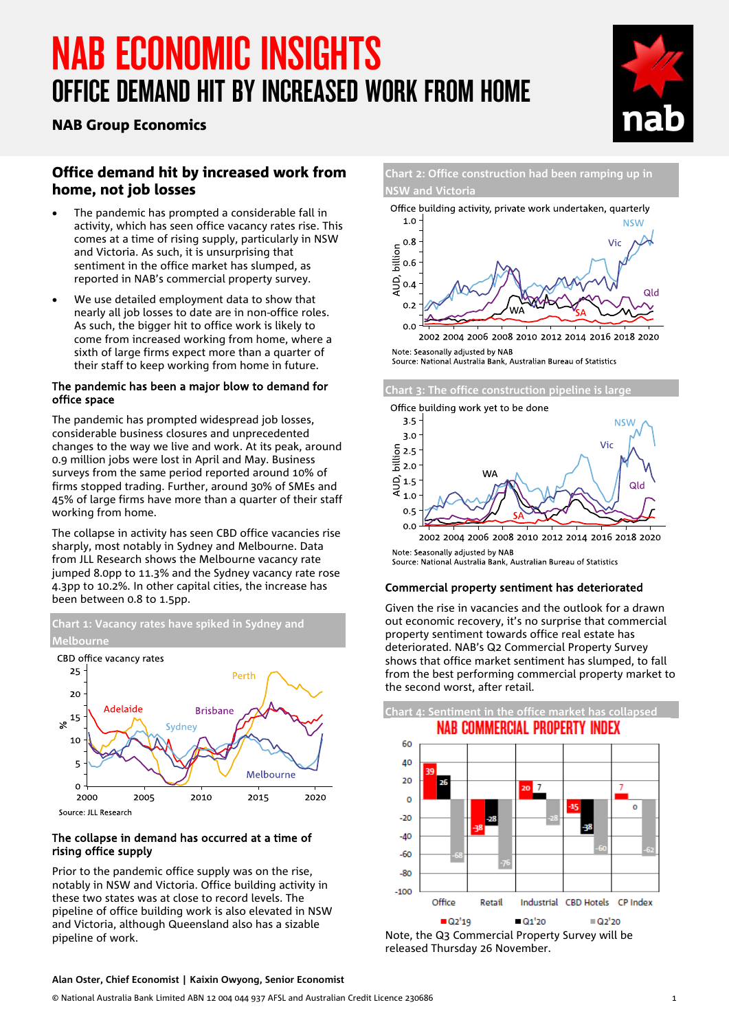# NAB ECONOMIC INSIGHTS OFFICE DEMAND HIT BY INCREASED WORK FROM HOME



## NAB Group Economics

## Office demand hit by increased work from home, not job losses

- The pandemic has prompted a considerable fall in activity, which has seen office vacancy rates rise. This comes at a time of rising supply, particularly in NSW and Victoria. As such, it is unsurprising that sentiment in the office market has slumped, as reported in NAB's commercial property survey.
- We use detailed employment data to show that nearly all job losses to date are in non-office roles. As such, the bigger hit to office work is likely to come from increased working from home, where a sixth of large firms expect more than a quarter of their staff to keep working from home in future.

#### The pandemic has been a major blow to demand for office space

The pandemic has prompted widespread job losses, considerable business closures and unprecedented changes to the way we live and work. At its peak, around 0.9 million jobs were lost in April and May. Business surveys from the same period reported around 10% of firms stopped trading. Further, around 30% of SMEs and 45% of large firms have more than a quarter of their staff working from home.

The collapse in activity has seen CBD office vacancies rise sharply, most notably in Sydney and Melbourne. Data from JLL Research shows the Melbourne vacancy rate jumped 8.0pp to 11.3% and the Sydney vacancy rate rose 4.3pp to 10.2%. In other capital cities, the increase has been between 0.8 to 1.5pp.



#### The collapse in demand has occurred at a time of rising office supply

Prior to the pandemic office supply was on the rise, notably in NSW and Victoria. Office building activity in these two states was at close to record levels. The pipeline of office building work is also elevated in NSW and Victoria, although Queensland also has a sizable pipeline of work.

# **Chart 2: Office construction had been ramping up in NSW and Victoria**



Source: National Australia Bank, Australian Bureau of Statistics

**Chart 3: The office construction pipeline is large**



Note: Seasonally adjusted by NAB

Source: National Australia Bank, Australian Bureau of Statistics

#### Commercial property sentiment has deteriorated

Given the rise in vacancies and the outlook for a drawn out economic recovery, it's no surprise that commercial property sentiment towards office real estate has deteriorated. NAB's Q2 Commercial Property Survey shows that office market sentiment has slumped, to fall from the best performing commercial property market to the second worst, after retail.



Note, the Q3 Commercial Property Survey will be released Thursday 26 November.

#### **Alan Oster, Chief Economist | Kaixin Owyong, Senior Economist**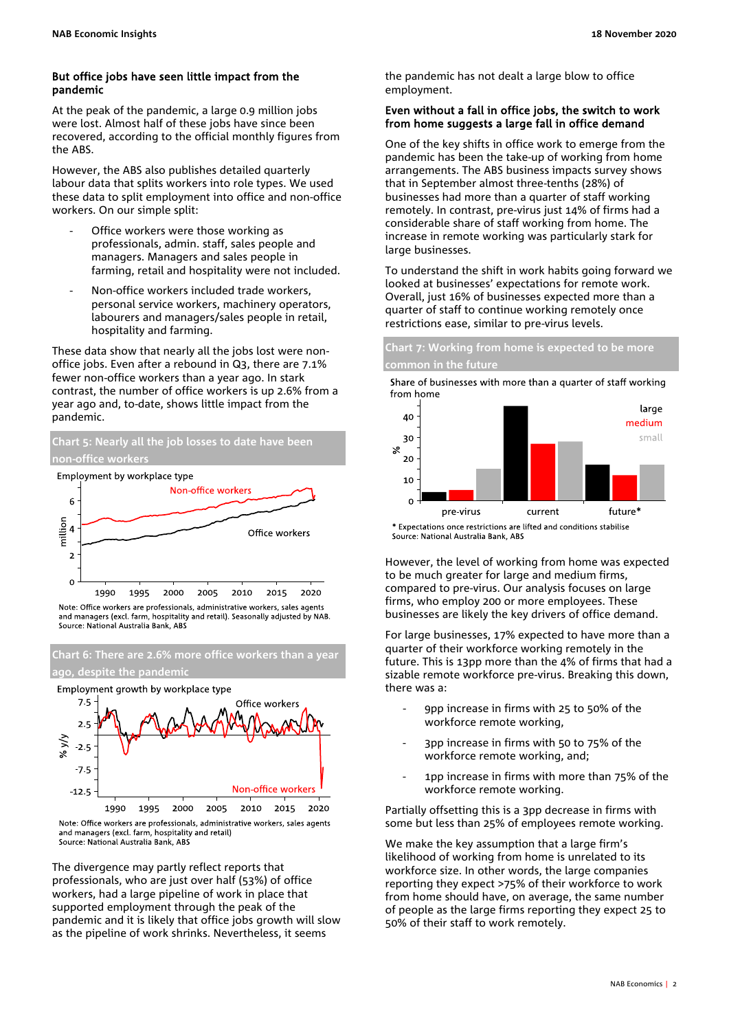#### But office jobs have seen little impact from the pandemic

At the peak of the pandemic, a large 0.9 million jobs were lost. Almost half of these jobs have since been recovered, according to the official monthly figures from the ABS.

However, the ABS also publishes detailed quarterly labour data that splits workers into role types. We used these data to split employment into office and non-office workers. On our simple split:

- Office workers were those working as professionals, admin. staff, sales people and managers. Managers and sales people in farming, retail and hospitality were not included.
- Non-office workers included trade workers, personal service workers, machinery operators, labourers and managers/sales people in retail, hospitality and farming.

These data show that nearly all the jobs lost were nonoffice jobs. Even after a rebound in Q3, there are 7.1% fewer non-office workers than a year ago. In stark contrast, the number of office workers is up 2.6% from a year ago and, to-date, shows little impact from the pandemic.



and managers (excl. farm, hospitality and retail). Seasonally adjusted by NAB. Source: National Australia Bank, ABS

**Chart 6: There are 2.6% more office workers than a year ago, despite the pandemic**



Note: Office workers are professionals, administrative workers, sales agents and managers (excl. farm, hospitality and retail) Source: National Australia Bank, ABS

The divergence may partly reflect reports that professionals, who are just over half (53%) of office workers, had a large pipeline of work in place that supported employment through the peak of the pandemic and it is likely that office jobs growth will slow as the pipeline of work shrinks. Nevertheless, it seems

the pandemic has not dealt a large blow to office employment.

#### Even without a fall in office jobs, the switch to work from home suggests a large fall in office demand

One of the key shifts in office work to emerge from the pandemic has been the take-up of working from home arrangements. The ABS business impacts survey shows that in September almost three-tenths (28%) of businesses had more than a quarter of staff working remotely. In contrast, pre-virus just 14% of firms had a considerable share of staff working from home. The increase in remote working was particularly stark for large businesses.

To understand the shift in work habits going forward we looked at businesses' expectations for remote work. Overall, just 16% of businesses expected more than a quarter of staff to continue working remotely once restrictions ease, similar to pre-virus levels.

**Chart 7: Working from home is expected to be more common in the future**

Share of businesses with more than a quarter of staff working from home



\* Expectations once restrictions are lifted and conditions stabilise Source: National Australia Bank, ABS

However, the level of working from home was expected to be much greater for large and medium firms, compared to pre-virus. Our analysis focuses on large firms, who employ 200 or more employees. These businesses are likely the key drivers of office demand.

For large businesses, 17% expected to have more than a quarter of their workforce working remotely in the future. This is 13pp more than the 4% of firms that had a sizable remote workforce pre-virus. Breaking this down, there was a:

- 9pp increase in firms with 25 to 50% of the workforce remote working,
- 3pp increase in firms with 50 to 75% of the workforce remote working, and;
- 1pp increase in firms with more than 75% of the workforce remote working.

Partially offsetting this is a 3pp decrease in firms with some but less than 25% of employees remote working.

We make the key assumption that a large firm's likelihood of working from home is unrelated to its workforce size. In other words, the large companies reporting they expect >75% of their workforce to work from home should have, on average, the same number of people as the large firms reporting they expect 25 to 50% of their staff to work remotely.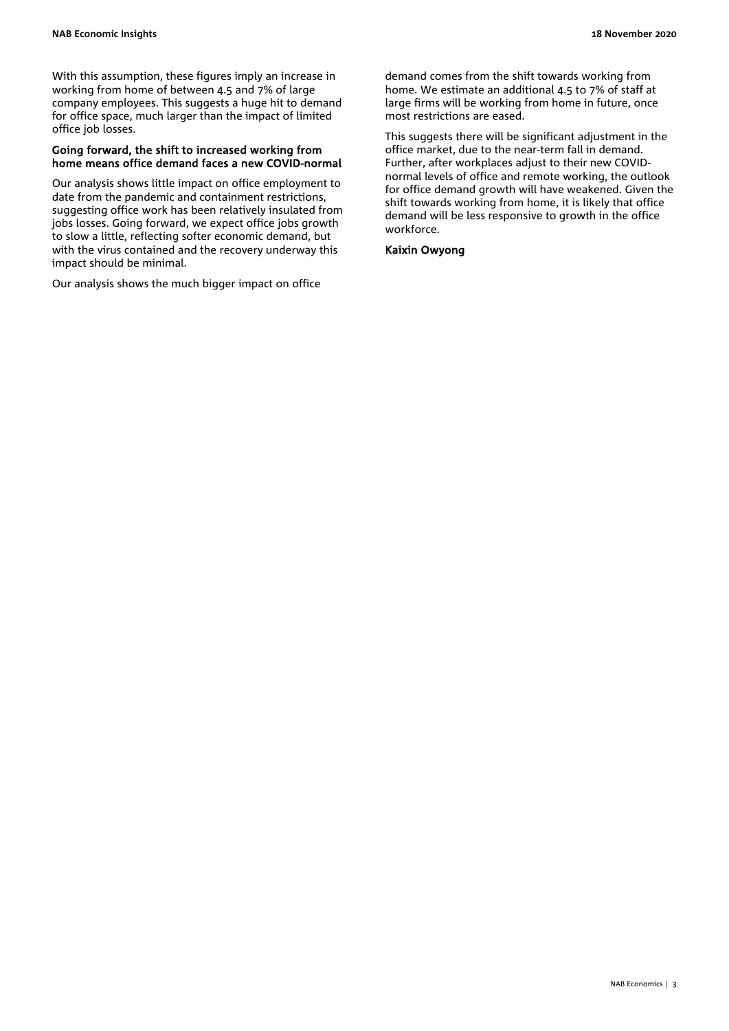With this assumption, these figures imply an increase in working from home of between 4.5 and 7% of large company employees. This suggests a huge hit to demand for office space, much larger than the impact of limited office job losses.

#### Going forward, the shift to increased working from home means office demand faces a new COVID-normal

Our analysis shows little impact on office employment to date from the pandemic and containment restrictions, suggesting office work has been relatively insulated from jobs losses. Going forward, we expect office jobs growth to slow a little, reflecting softer economic demand, but with the virus contained and the recovery underway this impact should be minimal.

Our analysis shows the much bigger impact on office

demand comes from the shift towards working from home. We estimate an additional 4.5 to 7% of staff at large firms will be working from home in future, once most restrictions are eased.

This suggests there will be significant adjustment in the office market, due to the near-term fall in demand. Further, after workplaces adjust to their new COVIDnormal levels of office and remote working, the outlook for office demand growth will have weakened. Given the shift towards working from home, it is likely that office demand will be less responsive to growth in the office workforce.

#### Kaixin Owyong